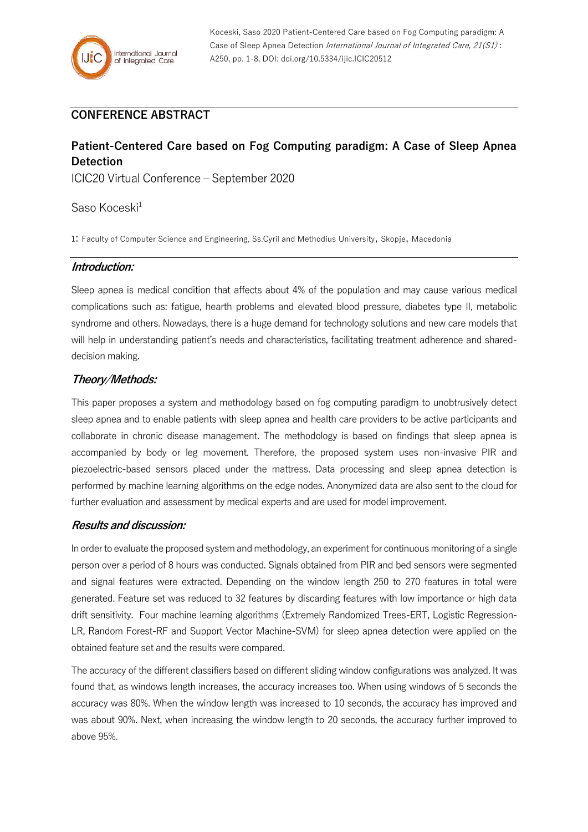# **CONFERENCE ABSTRACT**

# **Patient-Centered Care based on Fog Computing paradigm: A Case of Sleep Apnea Detection**

ICIC20 Virtual Conference – September 2020

# Saso Koceski<sup>1</sup>

1: Faculty of Computer Science and Engineering, Ss.Cyril and Methodius University, Skopje, Macedonia

# **Introduction:**

Sleep apnea is medical condition that affects about 4% of the population and may cause various medical complications such as: fatigue, hearth problems and elevated blood pressure, diabetes type II, metabolic syndrome and others. Nowadays, there is a huge demand for technology solutions and new care models that will help in understanding patient's needs and characteristics, facilitating treatment adherence and shareddecision making.

# **Theory/Methods:**

This paper proposes a system and methodology based on fog computing paradigm to unobtrusively detect sleep apnea and to enable patients with sleep apnea and health care providers to be active participants and collaborate in chronic disease management. The methodology is based on findings that sleep apnea is accompanied by body or leg movement. Therefore, the proposed system uses non-invasive PIR and piezoelectric-based sensors placed under the mattress. Data processing and sleep apnea detection is performed by machine learning algorithms on the edge nodes. Anonymized data are also sent to the cloud for further evaluation and assessment by medical experts and are used for model improvement.

# **Results and discussion:**

In order to evaluate the proposed system and methodology, an experiment for continuous monitoring of a single person over a period of 8 hours was conducted. Signals obtained from PIR and bed sensors were segmented and signal features were extracted. Depending on the window length 250 to 270 features in total were generated. Feature set was reduced to 32 features by discarding features with low importance or high data drift sensitivity. Four machine learning algorithms (Extremely Randomized Trees-ERT, Logistic Regression-LR, Random Forest-RF and Support Vector Machine-SVM) for sleep apnea detection were applied on the obtained feature set and the results were compared.

The accuracy of the different classifiers based on different sliding window configurations was analyzed. It was found that, as windows length increases, the accuracy increases too. When using windows of 5 seconds the accuracy was 80%. When the window length was increased to 10 seconds, the accuracy has improved and was about 90%. Next, when increasing the window length to 20 seconds, the accuracy further improved to above 95%.